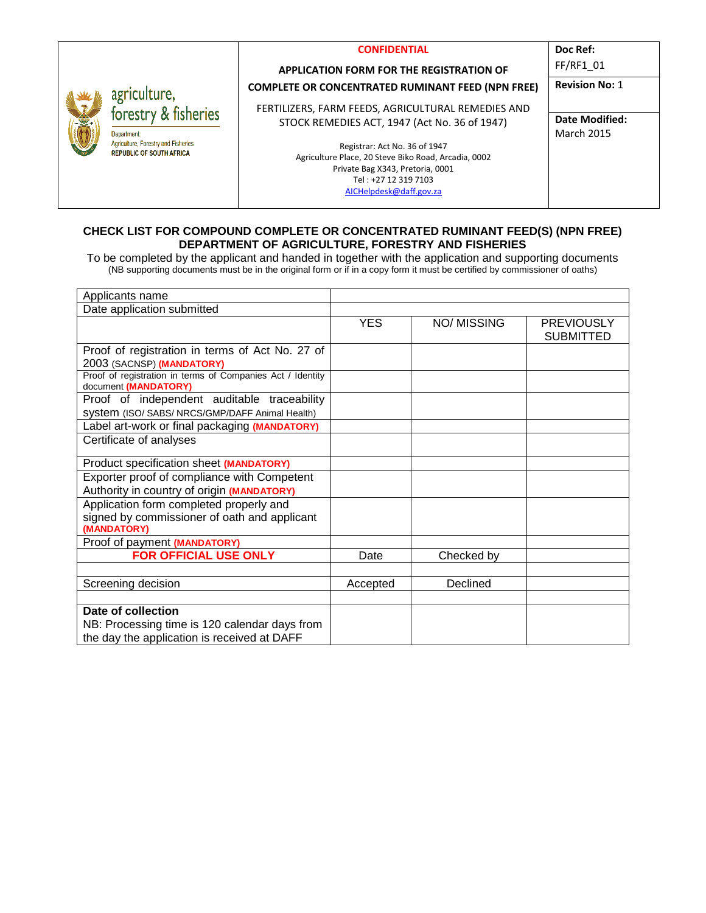|    |                                                                                                                                     | <b>CONFIDENTIAL</b>                                                                   | Doc Ref:              |
|----|-------------------------------------------------------------------------------------------------------------------------------------|---------------------------------------------------------------------------------------|-----------------------|
| 美国 | agriculture,<br>forestry & fisheries<br><b>Department</b><br>Agriculture, Forestry and Fisheries<br><b>REPUBLIC OF SOUTH AFRICA</b> | <b>APPLICATION FORM FOR THE REGISTRATION OF</b>                                       | FF/RF1 01             |
|    |                                                                                                                                     | <b>COMPLETE OR CONCENTRATED RUMINANT FEED (NPN FREE)</b>                              | <b>Revision No: 1</b> |
|    |                                                                                                                                     | FERTILIZERS, FARM FEEDS, AGRICULTURAL REMEDIES AND                                    |                       |
|    |                                                                                                                                     | STOCK REMEDIES ACT, 1947 (Act No. 36 of 1947)                                         | <b>Date Modified:</b> |
|    |                                                                                                                                     |                                                                                       | <b>March 2015</b>     |
|    |                                                                                                                                     | Registrar: Act No. 36 of 1947<br>Agriculture Place, 20 Steve Biko Road, Arcadia, 0002 |                       |
|    |                                                                                                                                     | Private Bag X343, Pretoria, 0001                                                      |                       |
|    |                                                                                                                                     | Tel: +27 12 319 7103                                                                  |                       |
|    |                                                                                                                                     | AICHelpdesk@daff.gov.za                                                               |                       |

#### **CHECK LIST FOR COMPOUND COMPLETE OR CONCENTRATED RUMINANT FEED(S) (NPN FREE) DEPARTMENT OF AGRICULTURE, FORESTRY AND FISHERIES**

To be completed by the applicant and handed in together with the application and supporting documents (NB supporting documents must be in the original form or if in a copy form it must be certified by commissioner of oaths)

| Applicants name                                                                                |            |             |                                       |
|------------------------------------------------------------------------------------------------|------------|-------------|---------------------------------------|
| Date application submitted                                                                     |            |             |                                       |
|                                                                                                | <b>YES</b> | NO/ MISSING | <b>PREVIOUSLY</b><br><b>SUBMITTED</b> |
| Proof of registration in terms of Act No. 27 of<br>2003 (SACNSP) (MANDATORY)                   |            |             |                                       |
| Proof of registration in terms of Companies Act / Identity<br>document (MANDATORY)             |            |             |                                       |
| Proof of independent auditable traceability<br>System (ISO/ SABS/ NRCS/GMP/DAFF Animal Health) |            |             |                                       |
| Label art-work or final packaging (MANDATORY)                                                  |            |             |                                       |
| Certificate of analyses                                                                        |            |             |                                       |
| Product specification sheet (MANDATORY)                                                        |            |             |                                       |
| Exporter proof of compliance with Competent                                                    |            |             |                                       |
| Authority in country of origin (MANDATORY)                                                     |            |             |                                       |
| Application form completed properly and<br>signed by commissioner of oath and applicant        |            |             |                                       |
| (MANDATORY)                                                                                    |            |             |                                       |
| Proof of payment (MANDATORY)                                                                   |            |             |                                       |
| FOR OFFICIAL USE ONLY                                                                          | Date       | Checked by  |                                       |
|                                                                                                |            |             |                                       |
| Screening decision                                                                             | Accepted   | Declined    |                                       |
|                                                                                                |            |             |                                       |
| Date of collection                                                                             |            |             |                                       |
| NB: Processing time is 120 calendar days from                                                  |            |             |                                       |
| the day the application is received at DAFF                                                    |            |             |                                       |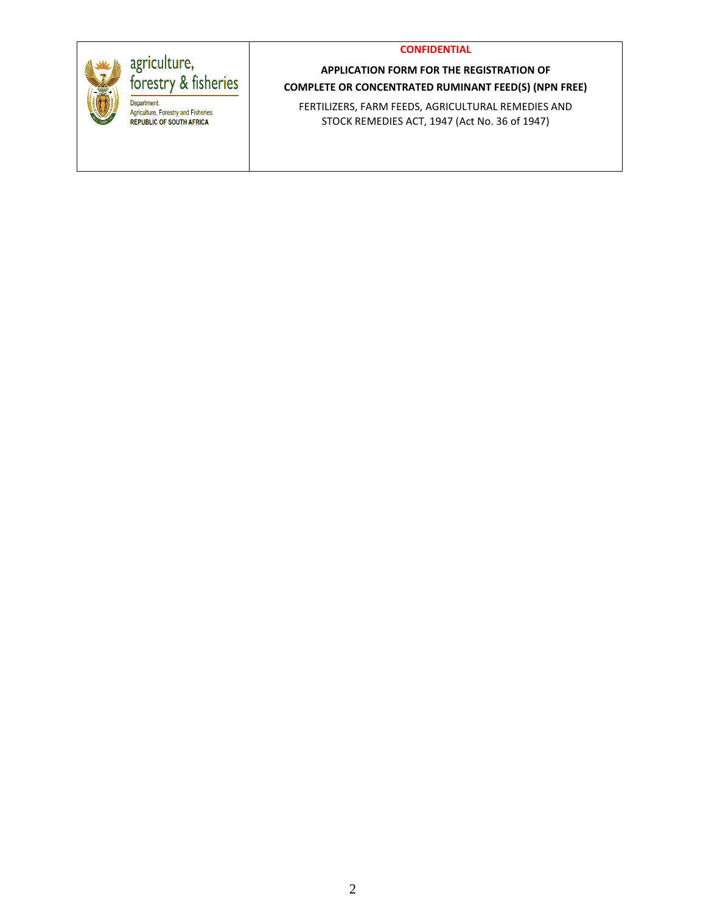

# agriculture,<br>forestry & fisheries

Department: Agriculture, Forestry and Fisheries<br>REPUBLIC OF SOUTH AFRICA

**APPLICATION FORM FOR THE REGISTRATION OF COMPLETE OR CONCENTRATED RUMINANT FEED(S) (NPN FREE)**

FERTILIZERS, FARM FEEDS, AGRICULTURAL REMEDIES AND STOCK REMEDIES ACT, 1947 (Act No. 36 of 1947)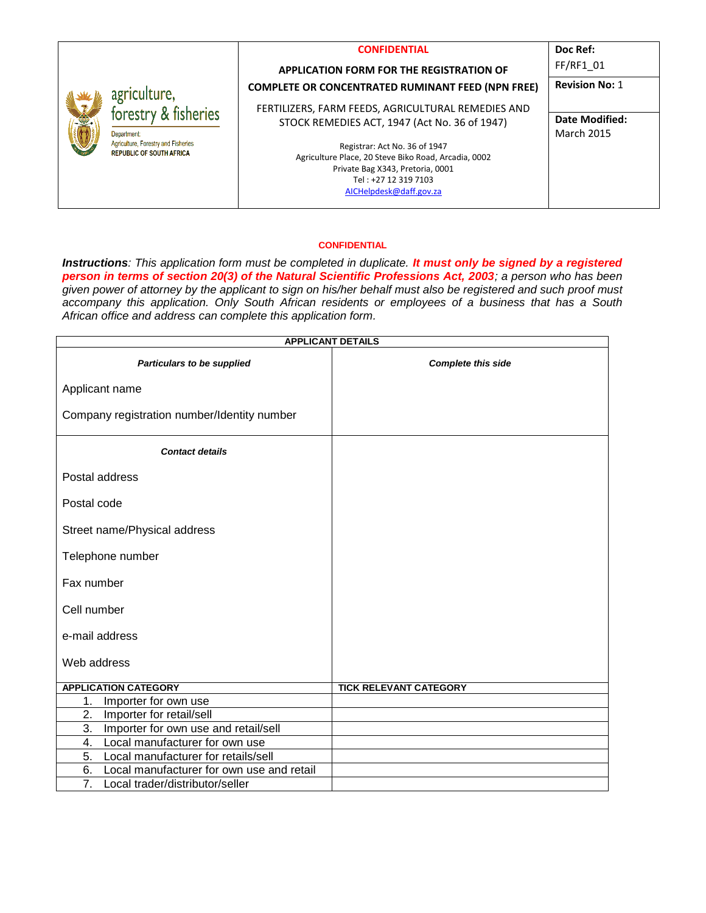|   |                                                                        | <b>CONFIDENTIAL</b>                                      | Doc Ref:              |
|---|------------------------------------------------------------------------|----------------------------------------------------------|-----------------------|
| 盛 | agriculture,<br>forestry & fisheries<br>Department                     | <b>APPLICATION FORM FOR THE REGISTRATION OF</b>          | FF/RF1 01             |
|   |                                                                        | <b>COMPLETE OR CONCENTRATED RUMINANT FEED (NPN FREE)</b> | <b>Revision No: 1</b> |
|   |                                                                        | FERTILIZERS, FARM FEEDS, AGRICULTURAL REMEDIES AND       |                       |
|   |                                                                        | STOCK REMEDIES ACT, 1947 (Act No. 36 of 1947)            | Date Modified:        |
|   |                                                                        |                                                          | <b>March 2015</b>     |
|   | Agriculture, Forestry and Fisheries<br><b>REPUBLIC OF SOUTH AFRICA</b> | Registrar: Act No. 36 of 1947                            |                       |
|   |                                                                        | Agriculture Place, 20 Steve Biko Road, Arcadia, 0002     |                       |
|   |                                                                        | Private Bag X343, Pretoria, 0001<br>Tel: +27 12 319 7103 |                       |
|   |                                                                        | AICHelpdesk@daff.gov.za                                  |                       |
|   |                                                                        |                                                          |                       |

*Instructions: This application form must be completed in duplicate. It must only be signed by a registered person in terms of section 20(3) of the Natural Scientific Professions Act, 2003; a person who has been given power of attorney by the applicant to sign on his/her behalf must also be registered and such proof must accompany this application. Only South African residents or employees of a business that has a South African office and address can complete this application form.* 

| <b>APPLICANT DETAILS</b>                            |                               |  |  |  |  |
|-----------------------------------------------------|-------------------------------|--|--|--|--|
| Particulars to be supplied                          | <b>Complete this side</b>     |  |  |  |  |
| Applicant name                                      |                               |  |  |  |  |
| Company registration number/Identity number         |                               |  |  |  |  |
| <b>Contact details</b>                              |                               |  |  |  |  |
| Postal address                                      |                               |  |  |  |  |
| Postal code                                         |                               |  |  |  |  |
| Street name/Physical address                        |                               |  |  |  |  |
| Telephone number                                    |                               |  |  |  |  |
| Fax number                                          |                               |  |  |  |  |
| Cell number                                         |                               |  |  |  |  |
| e-mail address                                      |                               |  |  |  |  |
| Web address                                         |                               |  |  |  |  |
| <b>APPLICATION CATEGORY</b>                         | <b>TICK RELEVANT CATEGORY</b> |  |  |  |  |
| Importer for own use<br>1.                          |                               |  |  |  |  |
| 2.<br>Importer for retail/sell                      |                               |  |  |  |  |
| Importer for own use and retail/sell<br>3.          |                               |  |  |  |  |
| 4.<br>Local manufacturer for own use                |                               |  |  |  |  |
| 5.<br>Local manufacturer for retails/sell           |                               |  |  |  |  |
| 6.<br>Local manufacturer for own use and retail     |                               |  |  |  |  |
| $\overline{7}$ .<br>Local trader/distributor/seller |                               |  |  |  |  |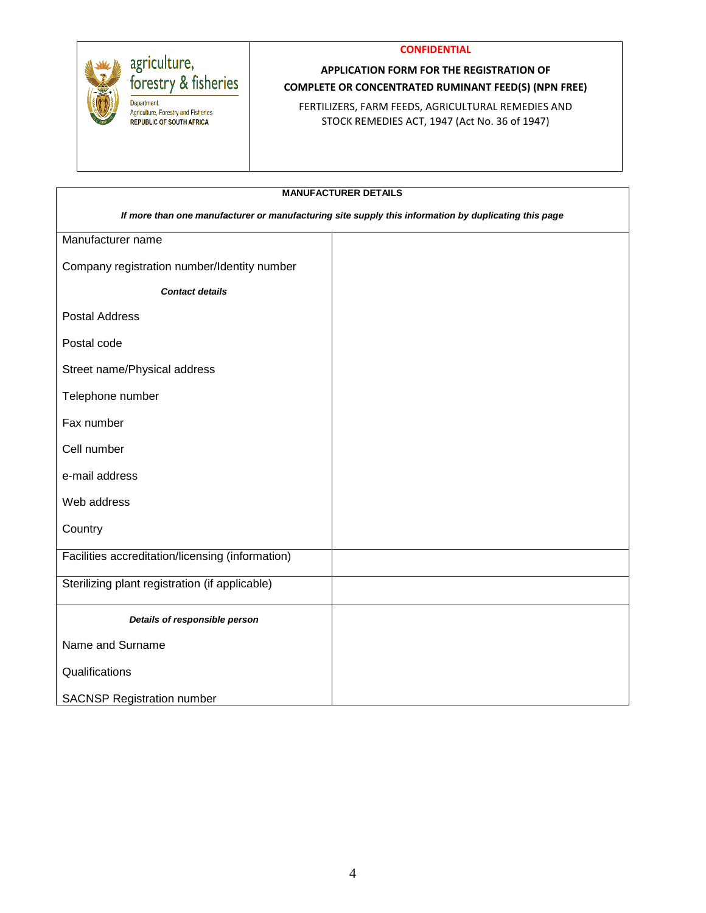



# agriculture,<br>forestry & fisheries

Department: Agriculture, Forestry and Fisheries **REPUBLIC OF SOUTH AFRICA** 

## **APPLICATION FORM FOR THE REGISTRATION OF COMPLETE OR CONCENTRATED RUMINANT FEED(S) (NPN FREE)**

FERTILIZERS, FARM FEEDS, AGRICULTURAL REMEDIES AND STOCK REMEDIES ACT, 1947 (Act No. 36 of 1947)

| <b>MANUFACTURER DETAILS</b>                                                                          |  |  |  |  |
|------------------------------------------------------------------------------------------------------|--|--|--|--|
| If more than one manufacturer or manufacturing site supply this information by duplicating this page |  |  |  |  |
| Manufacturer name                                                                                    |  |  |  |  |
| Company registration number/Identity number                                                          |  |  |  |  |
| <b>Contact details</b>                                                                               |  |  |  |  |
| <b>Postal Address</b>                                                                                |  |  |  |  |
| Postal code                                                                                          |  |  |  |  |
| Street name/Physical address                                                                         |  |  |  |  |
| Telephone number                                                                                     |  |  |  |  |
| Fax number                                                                                           |  |  |  |  |
| Cell number                                                                                          |  |  |  |  |
| e-mail address                                                                                       |  |  |  |  |
| Web address                                                                                          |  |  |  |  |
| Country                                                                                              |  |  |  |  |
| Facilities accreditation/licensing (information)                                                     |  |  |  |  |
| Sterilizing plant registration (if applicable)                                                       |  |  |  |  |
| Details of responsible person                                                                        |  |  |  |  |
| Name and Surname                                                                                     |  |  |  |  |
| Qualifications                                                                                       |  |  |  |  |
| <b>SACNSP Registration number</b>                                                                    |  |  |  |  |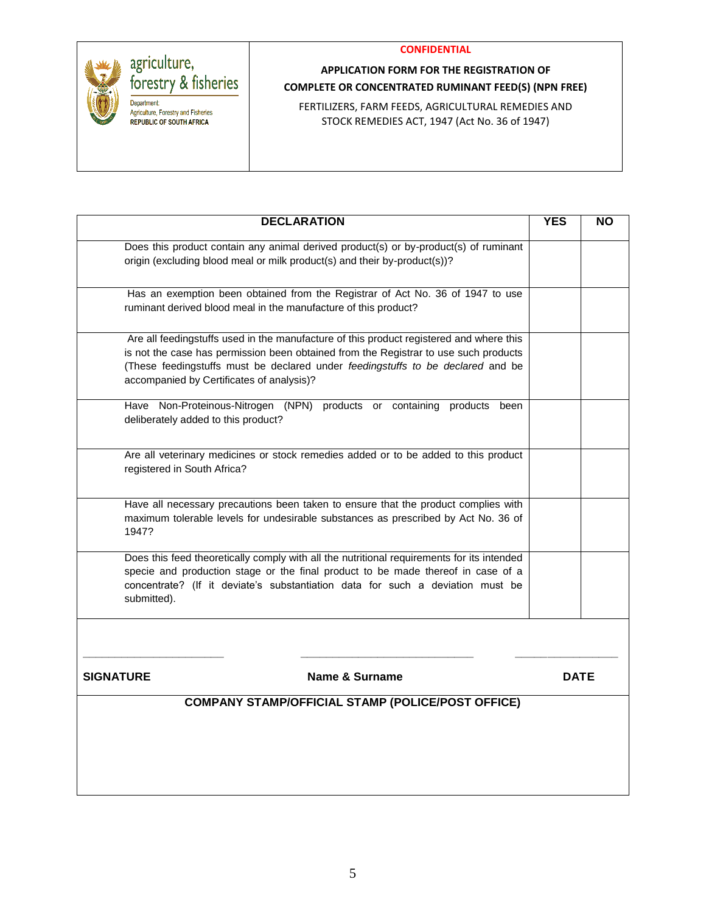

# agriculture,<br>forestry & fisheries Department:

Agriculture, Forestry and Fisheries **REPUBLIC OF SOUTH AFRICA** 

# **APPLICATION FORM FOR THE REGISTRATION OF COMPLETE OR CONCENTRATED RUMINANT FEED(S) (NPN FREE)**

FERTILIZERS, FARM FEEDS, AGRICULTURAL REMEDIES AND STOCK REMEDIES ACT, 1947 (Act No. 36 of 1947)

|                                                                                       | <b>DECLARATION</b>                                                                                                                                                                                                                                                 | <b>YES</b> | <b>NO</b>   |
|---------------------------------------------------------------------------------------|--------------------------------------------------------------------------------------------------------------------------------------------------------------------------------------------------------------------------------------------------------------------|------------|-------------|
|                                                                                       | Does this product contain any animal derived product(s) or by-product(s) of ruminant<br>origin (excluding blood meal or milk product(s) and their by-product(s))?                                                                                                  |            |             |
| ruminant derived blood meal in the manufacture of this product?                       | Has an exemption been obtained from the Registrar of Act No. 36 of 1947 to use                                                                                                                                                                                     |            |             |
| accompanied by Certificates of analysis)?                                             | Are all feedingstuffs used in the manufacture of this product registered and where this<br>is not the case has permission been obtained from the Registrar to use such products<br>(These feedingstuffs must be declared under feedingstuffs to be declared and be |            |             |
| Have Non-Proteinous-Nitrogen (NPN) products or<br>deliberately added to this product? | containing<br>products<br>been                                                                                                                                                                                                                                     |            |             |
| registered in South Africa?                                                           | Are all veterinary medicines or stock remedies added or to be added to this product                                                                                                                                                                                |            |             |
| 1947?                                                                                 | Have all necessary precautions been taken to ensure that the product complies with<br>maximum tolerable levels for undesirable substances as prescribed by Act No. 36 of                                                                                           |            |             |
| submitted).                                                                           | Does this feed theoretically comply with all the nutritional requirements for its intended<br>specie and production stage or the final product to be made thereof in case of a<br>concentrate? (If it deviate's substantiation data for such a deviation must be   |            |             |
| <b>SIGNATURE</b>                                                                      | <b>Name &amp; Surname</b>                                                                                                                                                                                                                                          |            | <b>DATE</b> |
|                                                                                       | <b>COMPANY STAMP/OFFICIAL STAMP (POLICE/POST OFFICE)</b>                                                                                                                                                                                                           |            |             |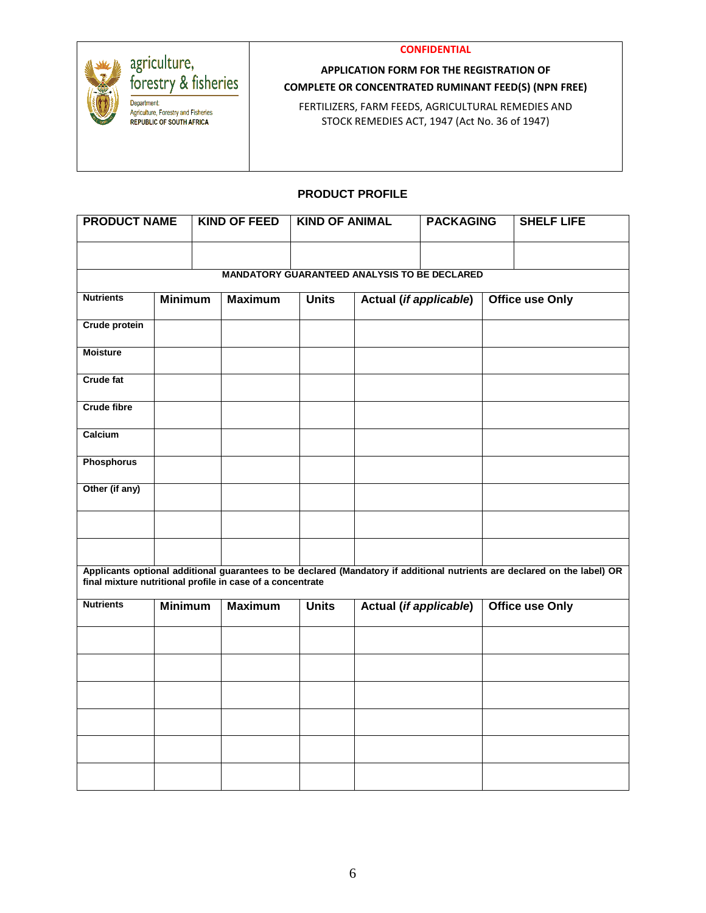

# agriculture,<br>forestry & fisheries

Department: Agriculture, Forestry and Fisheries REPUBLIC OF SOUTH AFRICA

## **APPLICATION FORM FOR THE REGISTRATION OF COMPLETE OR CONCENTRATED RUMINANT FEED(S) (NPN FREE)**

FERTILIZERS, FARM FEEDS, AGRICULTURAL REMEDIES AND STOCK REMEDIES ACT, 1947 (Act No. 36 of 1947)

## **PRODUCT PROFILE**

| <b>PRODUCT NAME</b>                                        |                |  | <b>KIND OF FEED</b> | <b>KIND OF ANIMAL</b> |                        | <b>PACKAGING</b> |  | <b>SHELF LIFE</b>                                                                                                         |
|------------------------------------------------------------|----------------|--|---------------------|-----------------------|------------------------|------------------|--|---------------------------------------------------------------------------------------------------------------------------|
|                                                            |                |  |                     |                       |                        |                  |  |                                                                                                                           |
| <b>MANDATORY GUARANTEED ANALYSIS TO BE DECLARED</b>        |                |  |                     |                       |                        |                  |  |                                                                                                                           |
| <b>Nutrients</b>                                           | <b>Minimum</b> |  | <b>Maximum</b>      | <b>Units</b>          | Actual (if applicable) |                  |  | <b>Office use Only</b>                                                                                                    |
| <b>Crude protein</b>                                       |                |  |                     |                       |                        |                  |  |                                                                                                                           |
| <b>Moisture</b>                                            |                |  |                     |                       |                        |                  |  |                                                                                                                           |
| Crude fat                                                  |                |  |                     |                       |                        |                  |  |                                                                                                                           |
| <b>Crude fibre</b>                                         |                |  |                     |                       |                        |                  |  |                                                                                                                           |
| Calcium                                                    |                |  |                     |                       |                        |                  |  |                                                                                                                           |
| <b>Phosphorus</b>                                          |                |  |                     |                       |                        |                  |  |                                                                                                                           |
| Other (if any)                                             |                |  |                     |                       |                        |                  |  |                                                                                                                           |
|                                                            |                |  |                     |                       |                        |                  |  |                                                                                                                           |
|                                                            |                |  |                     |                       |                        |                  |  |                                                                                                                           |
| final mixture nutritional profile in case of a concentrate |                |  |                     |                       |                        |                  |  | Applicants optional additional guarantees to be declared (Mandatory if additional nutrients are declared on the label) OR |
| <b>Nutrients</b>                                           | <b>Minimum</b> |  | <b>Maximum</b>      | <b>Units</b>          | Actual (if applicable) |                  |  | <b>Office use Only</b>                                                                                                    |
|                                                            |                |  |                     |                       |                        |                  |  |                                                                                                                           |
|                                                            |                |  |                     |                       |                        |                  |  |                                                                                                                           |
|                                                            |                |  |                     |                       |                        |                  |  |                                                                                                                           |
|                                                            |                |  |                     |                       |                        |                  |  |                                                                                                                           |
|                                                            |                |  |                     |                       |                        |                  |  |                                                                                                                           |
|                                                            |                |  |                     |                       |                        |                  |  |                                                                                                                           |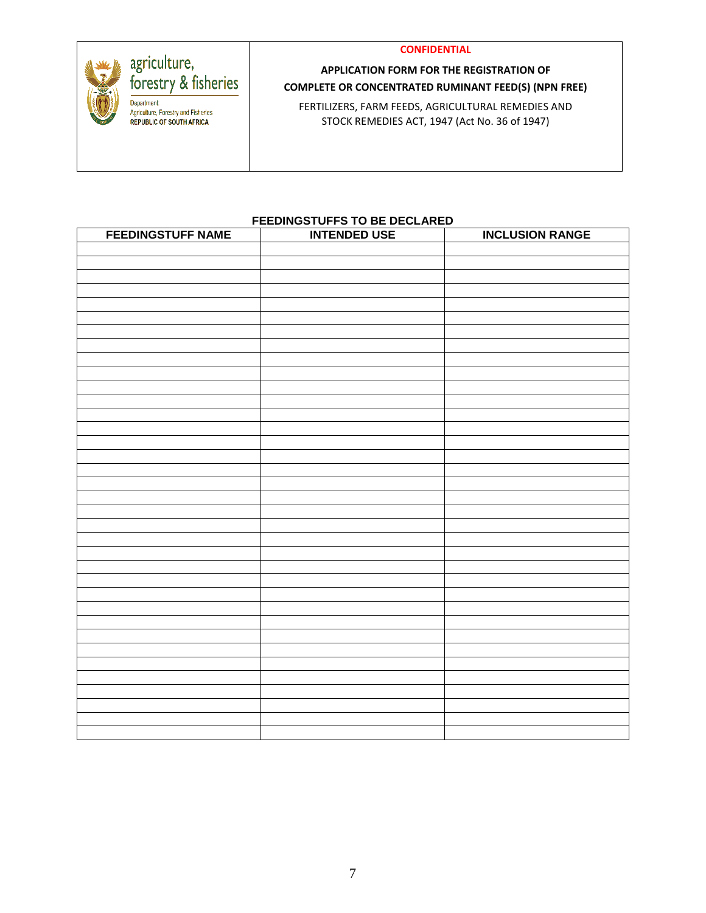

# agriculture,<br>forestry & fisheries Department: Agriculture, Forestry and Fisheries REPUBLIC OF SOUTH AFRICA

## **APPLICATION FORM FOR THE REGISTRATION OF COMPLETE OR CONCENTRATED RUMINANT FEED(S) (NPN FREE)**

FERTILIZERS, FARM FEEDS, AGRICULTURAL REMEDIES AND STOCK REMEDIES ACT, 1947 (Act No. 36 of 1947)

#### **FEEDINGSTUFFS TO BE DECLARED**

| <b>FEEDINGSTUFF NAME</b> | <b>INTENDED USE</b> | <b>INCLUSION RANGE</b> |
|--------------------------|---------------------|------------------------|
|                          |                     |                        |
|                          |                     |                        |
|                          |                     |                        |
|                          |                     |                        |
|                          |                     |                        |
|                          |                     |                        |
|                          |                     |                        |
|                          |                     |                        |
|                          |                     |                        |
|                          |                     |                        |
|                          |                     |                        |
|                          |                     |                        |
|                          |                     |                        |
|                          |                     |                        |
|                          |                     |                        |
|                          |                     |                        |
|                          |                     |                        |
|                          |                     |                        |
|                          |                     |                        |
|                          |                     |                        |
|                          |                     |                        |
|                          |                     |                        |
|                          |                     |                        |
|                          |                     |                        |
|                          |                     |                        |
|                          |                     |                        |
|                          |                     |                        |
|                          |                     |                        |
|                          |                     |                        |
|                          |                     |                        |
|                          |                     |                        |
|                          |                     |                        |
|                          |                     |                        |
|                          |                     |                        |
|                          |                     |                        |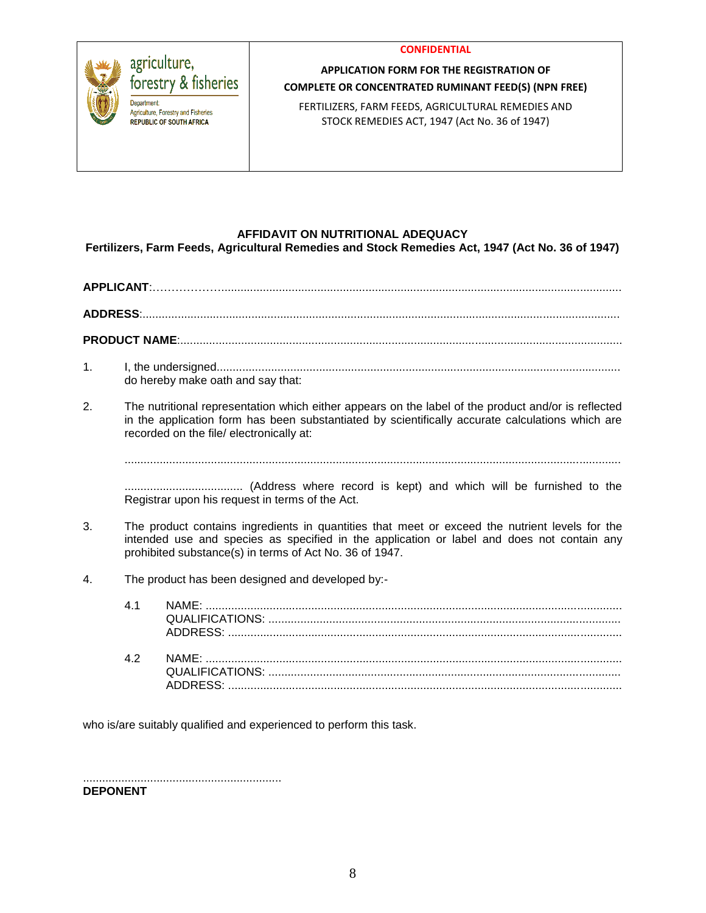

### **APPLICATION FORM FOR THE REGISTRATION OF COMPLETE OR CONCENTRATED RUMINANT FEED(S) (NPN FREE)**

FERTILIZERS, FARM FEEDS, AGRICULTURAL REMEDIES AND STOCK REMEDIES ACT, 1947 (Act No. 36 of 1947)

#### **AFFIDAVIT ON NUTRITIONAL ADEQUACY**

**Fertilizers, Farm Feeds, Agricultural Remedies and Stock Remedies Act, 1947 (Act No. 36 of 1947)**

# **APPLICANT**:……………….............................................................................................................................

**ADDRESS**:.....................................................................................................................................................

**PRODUCT NAME**:..........................................................................................................................................

- 1. I, the undersigned.............................................................................................................................. do hereby make oath and say that:
- 2. The nutritional representation which either appears on the label of the product and/or is reflected in the application form has been substantiated by scientifically accurate calculations which are recorded on the file/ electronically at:

...........................................................................................................................................................

..................................... (Address where record is kept) and which will be furnished to the Registrar upon his request in terms of the Act.

- 3. The product contains ingredients in quantities that meet or exceed the nutrient levels for the intended use and species as specified in the application or label and does not contain any prohibited substance(s) in terms of Act No. 36 of 1947.
- 4. The product has been designed and developed by:-

who is/are suitably qualified and experienced to perform this task.

.............................................................. **DEPONENT**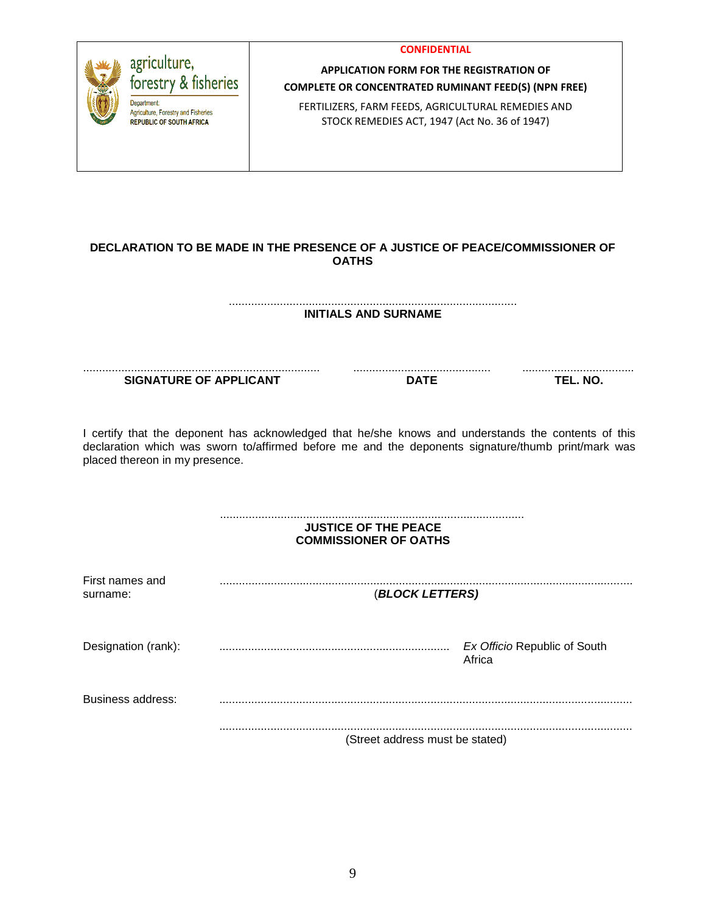|                                                                                                                                                                                                                                             |  | <b>CONFIDENTIAL</b>                                                                                 |                                        |  |  |  |  |
|---------------------------------------------------------------------------------------------------------------------------------------------------------------------------------------------------------------------------------------------|--|-----------------------------------------------------------------------------------------------------|----------------------------------------|--|--|--|--|
| agriculture,                                                                                                                                                                                                                                |  | <b>APPLICATION FORM FOR THE REGISTRATION OF</b>                                                     |                                        |  |  |  |  |
| forestry & fisheries                                                                                                                                                                                                                        |  | <b>COMPLETE OR CONCENTRATED RUMINANT FEED(S) (NPN FREE)</b>                                         |                                        |  |  |  |  |
| <b>Department</b><br>Agriculture, Forestry and Fisheries<br><b>REPUBLIC OF SOUTH AFRICA</b>                                                                                                                                                 |  | FERTILIZERS, FARM FEEDS, AGRICULTURAL REMEDIES AND<br>STOCK REMEDIES ACT, 1947 (Act No. 36 of 1947) |                                        |  |  |  |  |
|                                                                                                                                                                                                                                             |  |                                                                                                     |                                        |  |  |  |  |
| DECLARATION TO BE MADE IN THE PRESENCE OF A JUSTICE OF PEACE/COMMISSIONER OF<br><b>OATHS</b>                                                                                                                                                |  |                                                                                                     |                                        |  |  |  |  |
|                                                                                                                                                                                                                                             |  | <b>INITIALS AND SURNAME</b>                                                                         |                                        |  |  |  |  |
|                                                                                                                                                                                                                                             |  |                                                                                                     |                                        |  |  |  |  |
| <b>SIGNATURE OF APPLICANT</b>                                                                                                                                                                                                               |  | <b>DATE</b>                                                                                         | TEL. NO.                               |  |  |  |  |
| I certify that the deponent has acknowledged that he/she knows and understands the contents of this<br>declaration which was sworn to/affirmed before me and the deponents signature/thumb print/mark was<br>placed thereon in my presence. |  |                                                                                                     |                                        |  |  |  |  |
| <b>JUSTICE OF THE PEACE</b><br><b>COMMISSIONER OF OATHS</b>                                                                                                                                                                                 |  |                                                                                                     |                                        |  |  |  |  |
| First names and<br>surname:                                                                                                                                                                                                                 |  | (BLOCK LETTERS)                                                                                     |                                        |  |  |  |  |
| Designation (rank):                                                                                                                                                                                                                         |  |                                                                                                     | Ex Officio Republic of South<br>Africa |  |  |  |  |

Business address: .................................................................................................................................

................................................................................................................................. (Street address must be stated)